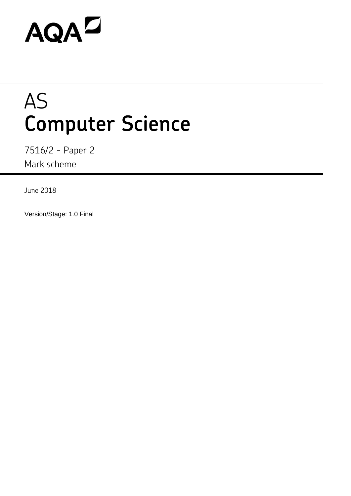# AQAZ

# AS **Computer Science**

7516/2 - Paper 2 Mark scheme

June 2018

Version/Stage: 1.0 Final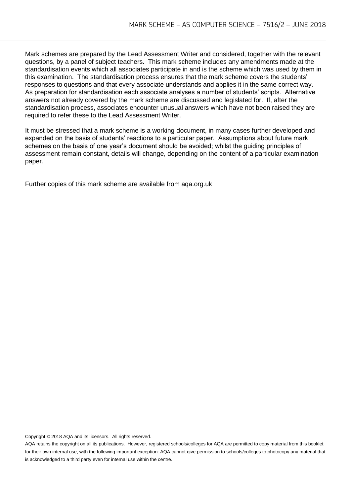Mark schemes are prepared by the Lead Assessment Writer and considered, together with the relevant questions, by a panel of subject teachers. This mark scheme includes any amendments made at the standardisation events which all associates participate in and is the scheme which was used by them in this examination. The standardisation process ensures that the mark scheme covers the students' responses to questions and that every associate understands and applies it in the same correct way. As preparation for standardisation each associate analyses a number of students' scripts. Alternative answers not already covered by the mark scheme are discussed and legislated for. If, after the standardisation process, associates encounter unusual answers which have not been raised they are required to refer these to the Lead Assessment Writer.

It must be stressed that a mark scheme is a working document, in many cases further developed and expanded on the basis of students' reactions to a particular paper. Assumptions about future mark schemes on the basis of one year's document should be avoided; whilst the guiding principles of assessment remain constant, details will change, depending on the content of a particular examination paper.

Further copies of this mark scheme are available from aqa.org.uk

Copyright © 2018 AQA and its licensors. All rights reserved.

AQA retains the copyright on all its publications. However, registered schools/colleges for AQA are permitted to copy material from this booklet for their own internal use, with the following important exception: AQA cannot give permission to schools/colleges to photocopy any material that is acknowledged to a third party even for internal use within the centre.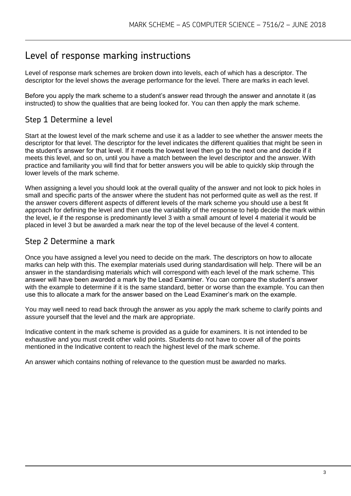## Level of response marking instructions

Level of response mark schemes are broken down into levels, each of which has a descriptor. The descriptor for the level shows the average performance for the level. There are marks in each level.

Before you apply the mark scheme to a student's answer read through the answer and annotate it (as instructed) to show the qualities that are being looked for. You can then apply the mark scheme.

#### Step 1 Determine a level

Start at the lowest level of the mark scheme and use it as a ladder to see whether the answer meets the descriptor for that level. The descriptor for the level indicates the different qualities that might be seen in the student's answer for that level. If it meets the lowest level then go to the next one and decide if it meets this level, and so on, until you have a match between the level descriptor and the answer. With practice and familiarity you will find that for better answers you will be able to quickly skip through the lower levels of the mark scheme.

When assigning a level you should look at the overall quality of the answer and not look to pick holes in small and specific parts of the answer where the student has not performed quite as well as the rest. If the answer covers different aspects of different levels of the mark scheme you should use a best fit approach for defining the level and then use the variability of the response to help decide the mark within the level, ie if the response is predominantly level 3 with a small amount of level 4 material it would be placed in level 3 but be awarded a mark near the top of the level because of the level 4 content.

#### Step 2 Determine a mark

Once you have assigned a level you need to decide on the mark. The descriptors on how to allocate marks can help with this. The exemplar materials used during standardisation will help. There will be an answer in the standardising materials which will correspond with each level of the mark scheme. This answer will have been awarded a mark by the Lead Examiner. You can compare the student's answer with the example to determine if it is the same standard, better or worse than the example. You can then use this to allocate a mark for the answer based on the Lead Examiner's mark on the example.

You may well need to read back through the answer as you apply the mark scheme to clarify points and assure yourself that the level and the mark are appropriate.

Indicative content in the mark scheme is provided as a guide for examiners. It is not intended to be exhaustive and you must credit other valid points. Students do not have to cover all of the points mentioned in the Indicative content to reach the highest level of the mark scheme.

An answer which contains nothing of relevance to the question must be awarded no marks.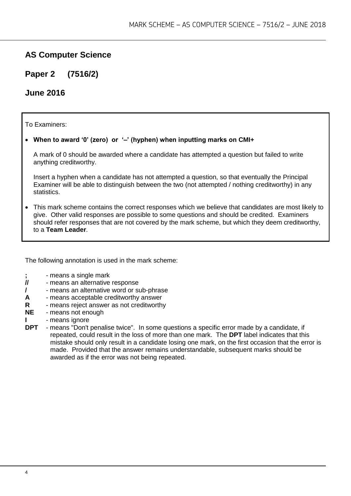### **AS Computer Science**

**Paper 2 (7516/2)**

#### **June 2016**

To Examiners:

#### **When to award '0' (zero) or '–' (hyphen) when inputting marks on CMI+**

A mark of 0 should be awarded where a candidate has attempted a question but failed to write anything creditworthy.

Insert a hyphen when a candidate has not attempted a question, so that eventually the Principal Examiner will be able to distinguish between the two (not attempted / nothing creditworthy) in any statistics.

 This mark scheme contains the correct responses which we believe that candidates are most likely to give. Other valid responses are possible to some questions and should be credited. Examiners should refer responses that are not covered by the mark scheme, but which they deem creditworthy, to a **Team Leader**.

The following annotation is used in the mark scheme:

- **;** means a single mark
- **//** means an alternative response
- **/**  means an alternative word or sub-phrase
- **A** means acceptable creditworthy answer
- **R** means reject answer as not creditworthy
- **NE** means not enough
- **I** means ignore
- **DPT** means "Don't penalise twice". In some questions a specific error made by a candidate, if repeated, could result in the loss of more than one mark. The **DPT** label indicates that this mistake should only result in a candidate losing one mark, on the first occasion that the error is made. Provided that the answer remains understandable, subsequent marks should be awarded as if the error was not being repeated.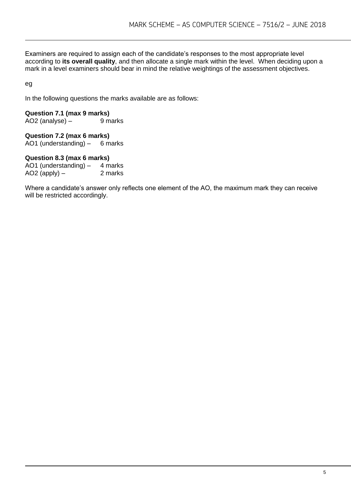Examiners are required to assign each of the candidate's responses to the most appropriate level according to **its overall quality**, and then allocate a single mark within the level. When deciding upon a mark in a level examiners should bear in mind the relative weightings of the assessment objectives.

eg

In the following questions the marks available are as follows:

**Question 7.1 (max 9 marks)**  $AO2$  (analyse) – 9 marks

**Question 7.2 (max 6 marks)** AO1 (understanding) – 6 marks

#### **Question 8.3 (max 6 marks)**

AO1 (understanding) – 4 marks<br>AO2 (apply) – 2 marks AO2 (apply)  $-$ 

Where a candidate's answer only reflects one element of the AO, the maximum mark they can receive will be restricted accordingly.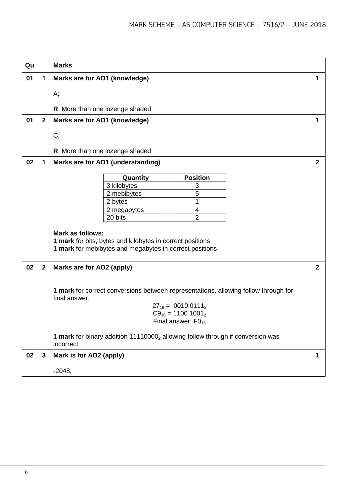| Qu |              | <b>Marks</b>                                                                                                                                                                                                                                                                                     |                 |                |  |  |  |  |
|----|--------------|--------------------------------------------------------------------------------------------------------------------------------------------------------------------------------------------------------------------------------------------------------------------------------------------------|-----------------|----------------|--|--|--|--|
| 01 | 1            | Marks are for AO1 (knowledge)                                                                                                                                                                                                                                                                    |                 | 1              |  |  |  |  |
|    |              | А;                                                                                                                                                                                                                                                                                               |                 |                |  |  |  |  |
|    |              |                                                                                                                                                                                                                                                                                                  |                 |                |  |  |  |  |
|    |              | R. More than one lozenge shaded                                                                                                                                                                                                                                                                  |                 |                |  |  |  |  |
| 01 | $\mathbf{2}$ | Marks are for AO1 (knowledge)                                                                                                                                                                                                                                                                    |                 |                |  |  |  |  |
|    |              | C;                                                                                                                                                                                                                                                                                               |                 |                |  |  |  |  |
|    |              |                                                                                                                                                                                                                                                                                                  |                 |                |  |  |  |  |
|    |              | R. More than one lozenge shaded                                                                                                                                                                                                                                                                  |                 |                |  |  |  |  |
| 02 | 1            | Marks are for AO1 (understanding)                                                                                                                                                                                                                                                                |                 | $\mathbf{2}$   |  |  |  |  |
|    |              | Quantity                                                                                                                                                                                                                                                                                         | <b>Position</b> |                |  |  |  |  |
|    |              | 3 kilobytes                                                                                                                                                                                                                                                                                      | 3               |                |  |  |  |  |
|    |              | 2 mebibytes                                                                                                                                                                                                                                                                                      | 5               |                |  |  |  |  |
|    |              | 2 bytes                                                                                                                                                                                                                                                                                          | 1               |                |  |  |  |  |
|    |              | 2 megabytes                                                                                                                                                                                                                                                                                      | 4               |                |  |  |  |  |
|    |              | 20 bits                                                                                                                                                                                                                                                                                          | $\overline{2}$  |                |  |  |  |  |
|    |              | <b>Mark as follows:</b><br>1 mark for bits, bytes and kilobytes in correct positions<br>1 mark for mebibytes and megabytes in correct positions                                                                                                                                                  |                 |                |  |  |  |  |
| 02 | $\mathbf{2}$ | Marks are for AO2 (apply)                                                                                                                                                                                                                                                                        |                 | $\overline{2}$ |  |  |  |  |
|    |              | 1 mark for correct conversions between representations, allowing follow through for<br>final answer.<br>$27_{16} = 00100111_2$<br>$C9_{16} = 1100 1001_2$<br>Final answer: $F0_{16}$<br>1 mark for binary addition 11110000 <sub>2</sub> allowing follow through if conversion was<br>incorrect. |                 |                |  |  |  |  |
| 02 | $\mathbf{3}$ | Mark is for AO2 (apply)                                                                                                                                                                                                                                                                          |                 | 1              |  |  |  |  |
|    |              | $-2048;$                                                                                                                                                                                                                                                                                         |                 |                |  |  |  |  |
|    |              |                                                                                                                                                                                                                                                                                                  |                 |                |  |  |  |  |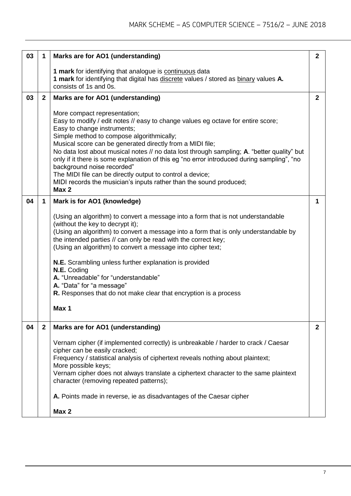| 03 | 1            | Marks are for AO1 (understanding)                                                                                                                                                                                                                                                                                                                                                                                                                                                                                                                                                                                               | $\overline{2}$ |
|----|--------------|---------------------------------------------------------------------------------------------------------------------------------------------------------------------------------------------------------------------------------------------------------------------------------------------------------------------------------------------------------------------------------------------------------------------------------------------------------------------------------------------------------------------------------------------------------------------------------------------------------------------------------|----------------|
|    |              | 1 mark for identifying that analogue is continuous data<br>1 mark for identifying that digital has discrete values / stored as binary values A.<br>consists of 1s and 0s.                                                                                                                                                                                                                                                                                                                                                                                                                                                       |                |
| 03 | $\mathbf{2}$ | Marks are for AO1 (understanding)                                                                                                                                                                                                                                                                                                                                                                                                                                                                                                                                                                                               | $\overline{2}$ |
|    |              | More compact representation;<br>Easy to modify / edit notes // easy to change values eg octave for entire score;<br>Easy to change instruments;<br>Simple method to compose algorithmically;<br>Musical score can be generated directly from a MIDI file;<br>No data lost about musical notes // no data lost through sampling; A. "better quality" but<br>only if it there is some explanation of this eg "no error introduced during sampling", "no<br>background noise recorded"<br>The MIDI file can be directly output to control a device;<br>MIDI records the musician's inputs rather than the sound produced;<br>Max 2 |                |
| 04 | 1            | Mark is for AO1 (knowledge)                                                                                                                                                                                                                                                                                                                                                                                                                                                                                                                                                                                                     | $\mathbf{1}$   |
|    |              | (Using an algorithm) to convert a message into a form that is not understandable<br>(without the key to decrypt it);<br>(Using an algorithm) to convert a message into a form that is only understandable by<br>the intended parties // can only be read with the correct key;<br>(Using an algorithm) to convert a message into cipher text;<br>N.E. Scrambling unless further explanation is provided<br>N.E. Coding<br>A. "Unreadable" for "understandable"<br>A. "Data" for "a message"<br>R. Responses that do not make clear that encryption is a process<br>Max 1                                                        |                |
| 04 | $\mathbf{2}$ | Marks are for AO1 (understanding)                                                                                                                                                                                                                                                                                                                                                                                                                                                                                                                                                                                               | $\mathbf{2}$   |
|    |              | Vernam cipher (if implemented correctly) is unbreakable / harder to crack / Caesar<br>cipher can be easily cracked;<br>Frequency / statistical analysis of ciphertext reveals nothing about plaintext;<br>More possible keys;<br>Vernam cipher does not always translate a ciphertext character to the same plaintext<br>character (removing repeated patterns);<br>A. Points made in reverse, ie as disadvantages of the Caesar cipher<br>Max 2                                                                                                                                                                                |                |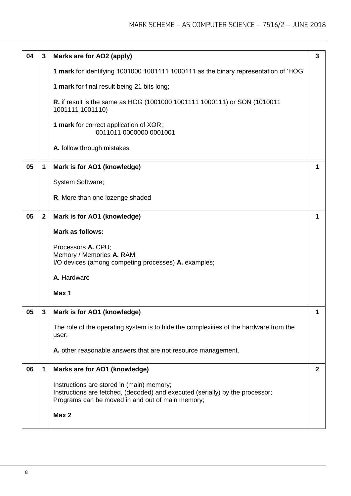| 04 | $\mathbf{3}$   | Marks are for AO2 (apply)                                                                                                                                                      | 3              |
|----|----------------|--------------------------------------------------------------------------------------------------------------------------------------------------------------------------------|----------------|
|    |                | 1 mark for identifying 1001000 1001111 1000111 as the binary representation of 'HOG'                                                                                           |                |
|    |                | 1 mark for final result being 21 bits long;                                                                                                                                    |                |
|    |                | R. if result is the same as HOG (1001000 1001111 1000111) or SON (1010011<br>1001111 1001110)                                                                                  |                |
|    |                | 1 mark for correct application of XOR;<br>0011011 0000000 0001001                                                                                                              |                |
|    |                | A. follow through mistakes                                                                                                                                                     |                |
| 05 | 1              | Mark is for AO1 (knowledge)                                                                                                                                                    | 1              |
|    |                | System Software;                                                                                                                                                               |                |
|    |                | R. More than one lozenge shaded                                                                                                                                                |                |
| 05 | $\mathbf{2}$   | Mark is for AO1 (knowledge)                                                                                                                                                    | 1              |
|    |                | <b>Mark as follows:</b>                                                                                                                                                        |                |
|    |                | Processors A. CPU;<br>Memory / Memories A. RAM;<br>I/O devices (among competing processes) A. examples;                                                                        |                |
|    |                | A. Hardware                                                                                                                                                                    |                |
|    |                | Max 1                                                                                                                                                                          |                |
| 05 | 3 <sup>1</sup> | Mark is for AO1 (knowledge)                                                                                                                                                    | 1              |
|    |                | The role of the operating system is to hide the complexities of the hardware from the<br>user;                                                                                 |                |
|    |                | A. other reasonable answers that are not resource management.                                                                                                                  |                |
| 06 | 1              | Marks are for AO1 (knowledge)                                                                                                                                                  | $\overline{2}$ |
|    |                | Instructions are stored in (main) memory;<br>Instructions are fetched, (decoded) and executed (serially) by the processor;<br>Programs can be moved in and out of main memory; |                |
|    |                | Max 2                                                                                                                                                                          |                |
|    |                |                                                                                                                                                                                |                |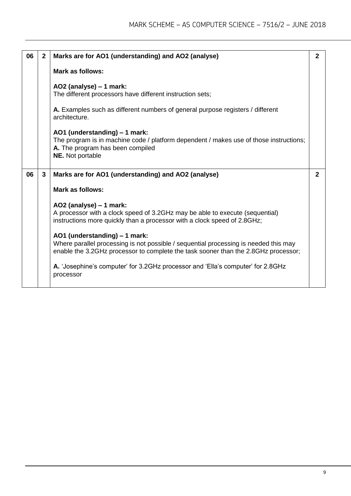| 06 | $\mathbf{2}$ | Marks are for AO1 (understanding) and AO2 (analyse)                                                                                                                                                                                                                                                                                                                                                                                                                                   | $\mathbf{2}$ |
|----|--------------|---------------------------------------------------------------------------------------------------------------------------------------------------------------------------------------------------------------------------------------------------------------------------------------------------------------------------------------------------------------------------------------------------------------------------------------------------------------------------------------|--------------|
|    |              | <b>Mark as follows:</b>                                                                                                                                                                                                                                                                                                                                                                                                                                                               |              |
|    |              | AO2 (analyse) - 1 mark:<br>The different processors have different instruction sets;                                                                                                                                                                                                                                                                                                                                                                                                  |              |
|    |              | A. Examples such as different numbers of general purpose registers / different<br>architecture.                                                                                                                                                                                                                                                                                                                                                                                       |              |
|    |              | AO1 (understanding) - 1 mark:<br>The program is in machine code / platform dependent / makes use of those instructions;<br>A. The program has been compiled<br>NE. Not portable                                                                                                                                                                                                                                                                                                       |              |
| 06 | 3            | Marks are for AO1 (understanding) and AO2 (analyse)                                                                                                                                                                                                                                                                                                                                                                                                                                   | $\mathbf{2}$ |
|    |              | Mark as follows:                                                                                                                                                                                                                                                                                                                                                                                                                                                                      |              |
|    |              | AO2 (analyse) - 1 mark:<br>A processor with a clock speed of 3.2GHz may be able to execute (sequential)<br>instructions more quickly than a processor with a clock speed of 2.8GHz;<br>AO1 (understanding) - 1 mark:<br>Where parallel processing is not possible / sequential processing is needed this may<br>enable the 3.2GHz processor to complete the task sooner than the 2.8GHz processor;<br>A. 'Josephine's computer' for 3.2GHz processor and 'Ella's computer' for 2.8GHz |              |
|    |              | processor                                                                                                                                                                                                                                                                                                                                                                                                                                                                             |              |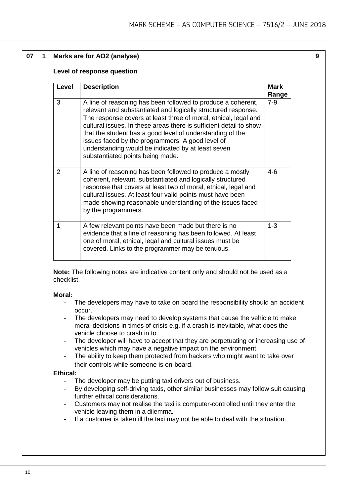**9**

|                             | Level of response question                                                                                                                                                                                                                                                                                                                                                                                                                                                        |                      |
|-----------------------------|-----------------------------------------------------------------------------------------------------------------------------------------------------------------------------------------------------------------------------------------------------------------------------------------------------------------------------------------------------------------------------------------------------------------------------------------------------------------------------------|----------------------|
| Level                       | <b>Description</b>                                                                                                                                                                                                                                                                                                                                                                                                                                                                | <b>Mark</b><br>Range |
| 3                           | A line of reasoning has been followed to produce a coherent,<br>relevant and substantiated and logically structured response.<br>The response covers at least three of moral, ethical, legal and<br>cultural issues. In these areas there is sufficient detail to show<br>that the student has a good level of understanding of the<br>issues faced by the programmers. A good level of<br>understanding would be indicated by at least seven<br>substantiated points being made. | $7 - 9$              |
| $\overline{2}$              | A line of reasoning has been followed to produce a mostly<br>coherent, relevant, substantiated and logically structured<br>response that covers at least two of moral, ethical, legal and<br>cultural issues. At least four valid points must have been<br>made showing reasonable understanding of the issues faced<br>by the programmers.                                                                                                                                       | $4 - 6$              |
| $\mathbf{1}$                | A few relevant points have been made but there is no<br>evidence that a line of reasoning has been followed. At least<br>one of moral, ethical, legal and cultural issues must be<br>covered. Links to the programmer may be tenuous.                                                                                                                                                                                                                                             | $1 - 3$              |
| checklist.<br><b>Moral:</b> | The developers may have to take on board the responsibility should an accident                                                                                                                                                                                                                                                                                                                                                                                                    |                      |
|                             | occur.<br>The developers may need to develop systems that cause the vehicle to make<br>moral decisions in times of crisis e.g. if a crash is inevitable, what does the<br>vehicle choose to crash in to.<br>The developer will have to accept that they are perpetuating or increasing use of                                                                                                                                                                                     |                      |
| $\overline{\phantom{a}}$    | vehicles which may have a negative impact on the environment.<br>The ability to keep them protected from hackers who might want to take over<br>their controls while someone is on-board.                                                                                                                                                                                                                                                                                         |                      |
|                             |                                                                                                                                                                                                                                                                                                                                                                                                                                                                                   |                      |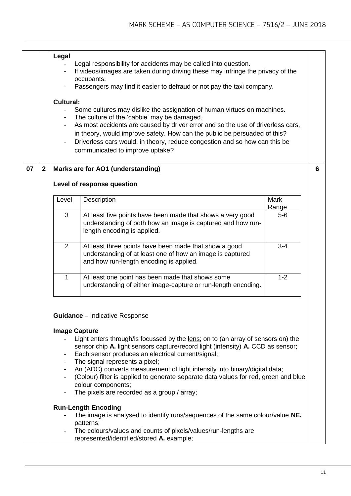|    |              | Legal<br>Legal responsibility for accidents may be called into question.<br>If videos/images are taken during driving these may infringe the privacy of the<br>occupants.<br>Passengers may find it easier to defraud or not pay the taxi company.<br><b>Cultural:</b><br>Some cultures may dislike the assignation of human virtues on machines.<br>The culture of the 'cabbie' may be damaged.<br>As most accidents are caused by driver error and so the use of driverless cars,<br>in theory, would improve safety. How can the public be persuaded of this?<br>Driverless cars would, in theory, reduce congestion and so how can this be<br>$\overline{\phantom{a}}$<br>communicated to improve uptake? |                                                                                                                                                                                                                                                                                                                                                                                                                                                                                                                                                                                                      |                      |   |
|----|--------------|---------------------------------------------------------------------------------------------------------------------------------------------------------------------------------------------------------------------------------------------------------------------------------------------------------------------------------------------------------------------------------------------------------------------------------------------------------------------------------------------------------------------------------------------------------------------------------------------------------------------------------------------------------------------------------------------------------------|------------------------------------------------------------------------------------------------------------------------------------------------------------------------------------------------------------------------------------------------------------------------------------------------------------------------------------------------------------------------------------------------------------------------------------------------------------------------------------------------------------------------------------------------------------------------------------------------------|----------------------|---|
| 07 | $\mathbf{2}$ |                                                                                                                                                                                                                                                                                                                                                                                                                                                                                                                                                                                                                                                                                                               | Marks are for AO1 (understanding)                                                                                                                                                                                                                                                                                                                                                                                                                                                                                                                                                                    |                      | 6 |
|    |              |                                                                                                                                                                                                                                                                                                                                                                                                                                                                                                                                                                                                                                                                                                               | Level of response question                                                                                                                                                                                                                                                                                                                                                                                                                                                                                                                                                                           |                      |   |
|    |              | Level                                                                                                                                                                                                                                                                                                                                                                                                                                                                                                                                                                                                                                                                                                         | Description                                                                                                                                                                                                                                                                                                                                                                                                                                                                                                                                                                                          | <b>Mark</b><br>Range |   |
|    |              | 3                                                                                                                                                                                                                                                                                                                                                                                                                                                                                                                                                                                                                                                                                                             | At least five points have been made that shows a very good<br>understanding of both how an image is captured and how run-<br>length encoding is applied.                                                                                                                                                                                                                                                                                                                                                                                                                                             | $5-6$                |   |
|    |              | $\overline{2}$<br>At least three points have been made that show a good<br>$3 - 4$<br>understanding of at least one of how an image is captured<br>and how run-length encoding is applied.                                                                                                                                                                                                                                                                                                                                                                                                                                                                                                                    |                                                                                                                                                                                                                                                                                                                                                                                                                                                                                                                                                                                                      |                      |   |
|    |              | 1                                                                                                                                                                                                                                                                                                                                                                                                                                                                                                                                                                                                                                                                                                             | At least one point has been made that shows some<br>understanding of either image-capture or run-length encoding.                                                                                                                                                                                                                                                                                                                                                                                                                                                                                    | $1 - 2$              |   |
|    |              | $\blacksquare$                                                                                                                                                                                                                                                                                                                                                                                                                                                                                                                                                                                                                                                                                                | <b>Guidance</b> - Indicative Response<br><b>Image Capture</b><br>Light enters through/is focussed by the lens; on to (an array of sensors on) the<br>sensor chip A. light sensors capture/record light (intensity) A. CCD as sensor;<br>Each sensor produces an electrical current/signal;<br>The signal represents a pixel;<br>An (ADC) converts measurement of light intensity into binary/digital data;<br>(Colour) filter is applied to generate separate data values for red, green and blue<br>colour components;<br>The pixels are recorded as a group / array;<br><b>Run-Length Encoding</b> |                      |   |
|    |              |                                                                                                                                                                                                                                                                                                                                                                                                                                                                                                                                                                                                                                                                                                               | The image is analysed to identify runs/sequences of the same colour/value NE.<br>patterns;<br>The colours/values and counts of pixels/values/run-lengths are<br>represented/identified/stored A. example;                                                                                                                                                                                                                                                                                                                                                                                            |                      |   |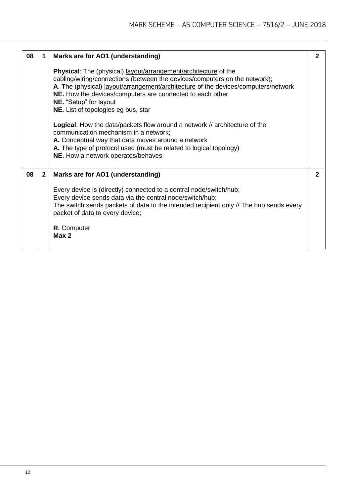| 08 |              | Marks are for AO1 (understanding)                                                                                                                                                                                                                                                                                                                                                                                                                                                                                                                                                                                                                                 | $\mathbf{2}$   |
|----|--------------|-------------------------------------------------------------------------------------------------------------------------------------------------------------------------------------------------------------------------------------------------------------------------------------------------------------------------------------------------------------------------------------------------------------------------------------------------------------------------------------------------------------------------------------------------------------------------------------------------------------------------------------------------------------------|----------------|
|    |              | Physical: The (physical) layout/arrangement/architecture of the<br>cabling/wiring/connections (between the devices/computers on the network);<br>A. The (physical) layout/arrangement/architecture of the devices/computers/network<br>NE. How the devices/computers are connected to each other<br>NE. "Setup" for layout<br>NE. List of topologies eg bus, star<br><b>Logical:</b> How the data/packets flow around a network // architecture of the<br>communication mechanism in a network;<br>A. Conceptual way that data moves around a network<br>A. The type of protocol used (must be related to logical topology)<br>NE. How a network operates/behaves |                |
| 08 | $\mathbf{2}$ | Marks are for AO1 (understanding)                                                                                                                                                                                                                                                                                                                                                                                                                                                                                                                                                                                                                                 | $\overline{2}$ |
|    |              | Every device is (directly) connected to a central node/switch/hub;<br>Every device sends data via the central node/switch/hub;<br>The switch sends packets of data to the intended recipient only // The hub sends every                                                                                                                                                                                                                                                                                                                                                                                                                                          |                |
|    |              | packet of data to every device;                                                                                                                                                                                                                                                                                                                                                                                                                                                                                                                                                                                                                                   |                |
|    |              | R. Computer<br>Max 2                                                                                                                                                                                                                                                                                                                                                                                                                                                                                                                                                                                                                                              |                |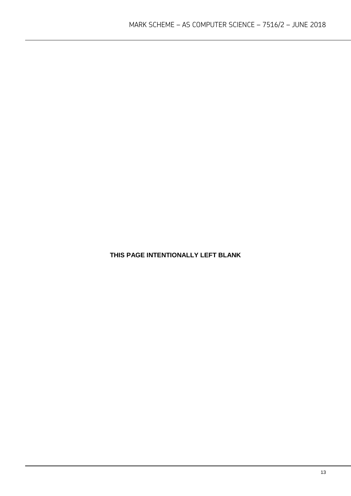**THIS PAGE INTENTIONALLY LEFT BLANK**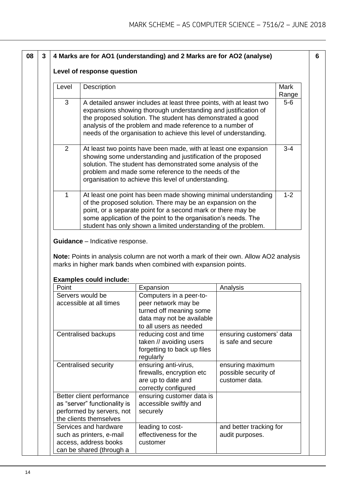|       | Level of response question                                                                                       |                                                                                                                                                                                                                                                                                                                                       |                                                            |               |
|-------|------------------------------------------------------------------------------------------------------------------|---------------------------------------------------------------------------------------------------------------------------------------------------------------------------------------------------------------------------------------------------------------------------------------------------------------------------------------|------------------------------------------------------------|---------------|
| Level | Description                                                                                                      |                                                                                                                                                                                                                                                                                                                                       |                                                            | Mark<br>Range |
| 3     |                                                                                                                  | A detailed answer includes at least three points, with at least two<br>expansions showing thorough understanding and justification of<br>the proposed solution. The student has demonstrated a good<br>analysis of the problem and made reference to a number of<br>needs of the organisation to achieve this level of understanding. |                                                            | $5-6$         |
| 2     |                                                                                                                  | At least two points have been made, with at least one expansion<br>showing some understanding and justification of the proposed<br>solution. The student has demonstrated some analysis of the<br>problem and made some reference to the needs of the<br>organisation to achieve this level of understanding.                         |                                                            | $3 - 4$       |
| 1     |                                                                                                                  | At least one point has been made showing minimal understanding<br>of the proposed solution. There may be an expansion on the<br>point, or a separate point for a second mark or there may be<br>some application of the point to the organisation's needs. The<br>student has only shown a limited understanding of the problem.      |                                                            | $1 - 2$       |
|       | Guidance - Indicative response.                                                                                  | Note: Points in analysis column are not worth a mark of their own. Allow AO2 analysis<br>marks in higher mark bands when combined with expansion points.                                                                                                                                                                              |                                                            |               |
|       | <b>Examples could include:</b>                                                                                   |                                                                                                                                                                                                                                                                                                                                       |                                                            |               |
| Point | Servers would be<br>accessible at all times                                                                      | Expansion<br>Computers in a peer-to-<br>peer network may be<br>turned off meaning some<br>data may not be available<br>to all users as needed                                                                                                                                                                                         | Analysis                                                   |               |
|       | Centralised backups                                                                                              | reducing cost and time<br>taken // avoiding users<br>forgetting to back up files<br>regularly                                                                                                                                                                                                                                         | ensuring customers' data<br>is safe and secure             |               |
|       | Centralised security                                                                                             | ensuring anti-virus,<br>firewalls, encryption etc<br>are up to date and<br>correctly configured                                                                                                                                                                                                                                       | ensuring maximum<br>possible security of<br>customer data. |               |
|       | Better client performance<br>as "server" functionality is<br>performed by servers, not<br>the clients themselves | ensuring customer data is<br>accessible swiftly and<br>securely                                                                                                                                                                                                                                                                       |                                                            |               |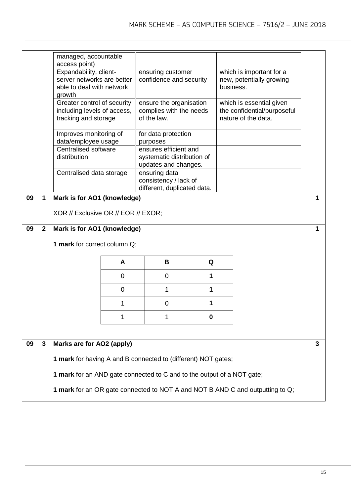|    |                         | managed, accountable<br>access point)                                                       |                |                                                                             |   |                                                                                |   |
|----|-------------------------|---------------------------------------------------------------------------------------------|----------------|-----------------------------------------------------------------------------|---|--------------------------------------------------------------------------------|---|
|    |                         | Expandability, client-<br>server networks are better<br>able to deal with network<br>growth |                | ensuring customer<br>confidence and security                                |   | which is important for a<br>new, potentially growing<br>business.              |   |
|    |                         | Greater control of security<br>including levels of access,<br>tracking and storage          |                | ensure the organisation<br>complies with the needs<br>of the law.           |   | which is essential given<br>the confidential/purposeful<br>nature of the data. |   |
|    |                         | Improves monitoring of<br>data/employee usage                                               |                | for data protection<br>purposes                                             |   |                                                                                |   |
|    |                         | Centralised software<br>distribution                                                        |                | ensures efficient and<br>systematic distribution of<br>updates and changes. |   |                                                                                |   |
|    |                         | Centralised data storage                                                                    |                | ensuring data<br>consistency / lack of<br>different, duplicated data.       |   |                                                                                |   |
| 09 | $\overline{\mathbf{1}}$ | Mark is for AO1 (knowledge)                                                                 |                |                                                                             |   |                                                                                | 1 |
|    |                         | XOR // Exclusive OR // EOR // EXOR;                                                         |                |                                                                             |   |                                                                                |   |
| 09 | $\overline{2}$          | Mark is for AO1 (knowledge)                                                                 |                |                                                                             |   |                                                                                | 1 |
|    |                         | 1 mark for correct column Q;                                                                |                |                                                                             |   |                                                                                |   |
|    |                         |                                                                                             | A              | B                                                                           | Q |                                                                                |   |
|    |                         |                                                                                             | $\overline{0}$ | 0                                                                           | 1 |                                                                                |   |
|    |                         |                                                                                             | $\mathbf 0$    | 1                                                                           | 1 |                                                                                |   |
|    |                         |                                                                                             | 1              | 0                                                                           | 1 |                                                                                |   |
|    |                         |                                                                                             |                |                                                                             | 0 |                                                                                |   |
|    |                         |                                                                                             |                |                                                                             |   |                                                                                |   |
| 09 | 3                       | Marks are for AO2 (apply)                                                                   |                |                                                                             |   |                                                                                | 3 |
|    |                         |                                                                                             |                | 1 mark for having A and B connected to (different) NOT gates;               |   |                                                                                |   |
|    |                         |                                                                                             |                | 1 mark for an AND gate connected to C and to the output of a NOT gate;      |   |                                                                                |   |
|    |                         |                                                                                             |                |                                                                             |   | 1 mark for an OR gate connected to NOT A and NOT B AND C and outputting to Q;  |   |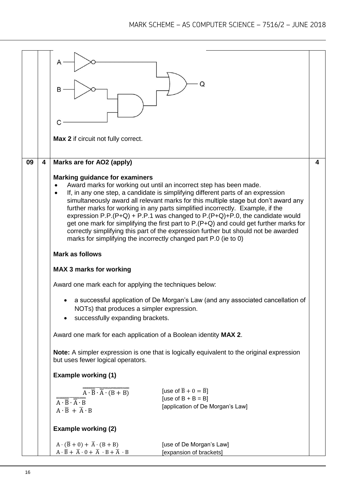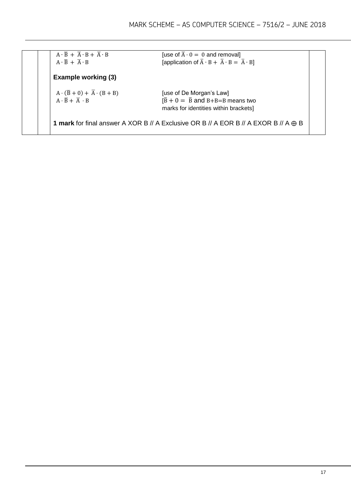| $A \cdot \overline{B} + \overline{A} \cdot B + \overline{A} \cdot B$<br>$A \cdot \overline{B} + \overline{A} \cdot B$ | [use of $\overline{A} \cdot 0 = 0$ and removal]<br>[application of $\overline{A} \cdot B + \overline{A} \cdot B = \overline{A} \cdot B$ ] |
|-----------------------------------------------------------------------------------------------------------------------|-------------------------------------------------------------------------------------------------------------------------------------------|
| <b>Example working (3)</b>                                                                                            |                                                                                                                                           |
| $A \cdot (\overline{B} + 0) + \overline{A} \cdot (B + B)$<br>$A \cdot \overline{B} + \overline{A} \cdot B$            | [use of De Morgan's Law]<br>$\overline{B} + 0 = \overline{B}$ and B+B=B means two<br>marks for identities within brackets]                |
|                                                                                                                       | <b>1 mark</b> for final answer A XOR B // A Exclusive OR B // A EOR B // A EXOR B // A $\oplus$ B                                         |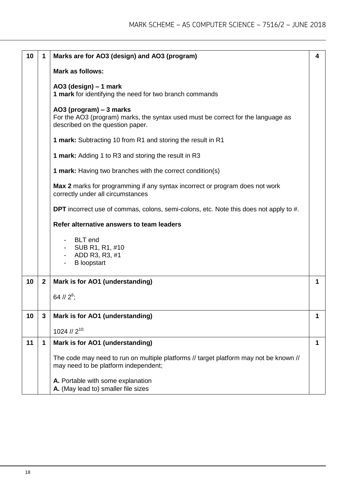| 10 | $\blacktriangleleft$ | Marks are for AO3 (design) and AO3 (program)                                                                                                    | 4 |
|----|----------------------|-------------------------------------------------------------------------------------------------------------------------------------------------|---|
|    |                      | <b>Mark as follows:</b>                                                                                                                         |   |
|    |                      | AO3 (design) $-1$ mark<br>1 mark for identifying the need for two branch commands                                                               |   |
|    |                      | AO3 (program) – 3 marks<br>For the AO3 (program) marks, the syntax used must be correct for the language as<br>described on the question paper. |   |
|    |                      | 1 mark: Subtracting 10 from R1 and storing the result in R1                                                                                     |   |
|    |                      | 1 mark: Adding 1 to R3 and storing the result in R3                                                                                             |   |
|    |                      | <b>1 mark:</b> Having two branches with the correct condition(s)                                                                                |   |
|    |                      | Max 2 marks for programming if any syntax incorrect or program does not work<br>correctly under all circumstances                               |   |
|    |                      | DPT incorrect use of commas, colons, semi-colons, etc. Note this does not apply to #.                                                           |   |
|    |                      | Refer alternative answers to team leaders                                                                                                       |   |
|    |                      | <b>BLT</b> end<br>- SUB R1, R1, #10<br>ADD R3, R3, #1<br><b>B</b> loopstart                                                                     |   |
| 10 | $\mathbf{2}$         | Mark is for AO1 (understanding)                                                                                                                 | 1 |
|    |                      | 64 // $2^6$ ;                                                                                                                                   |   |
| 10 | 3                    | Mark is for AO1 (understanding)                                                                                                                 | 1 |
|    |                      | 1024 // $2^{10}$                                                                                                                                |   |
| 11 | 1                    | Mark is for AO1 (understanding)                                                                                                                 | 1 |
|    |                      | The code may need to run on multiple platforms // target platform may not be known //<br>may need to be platform independent;                   |   |
|    |                      | A. Portable with some explanation<br>A. (May lead to) smaller file sizes                                                                        |   |